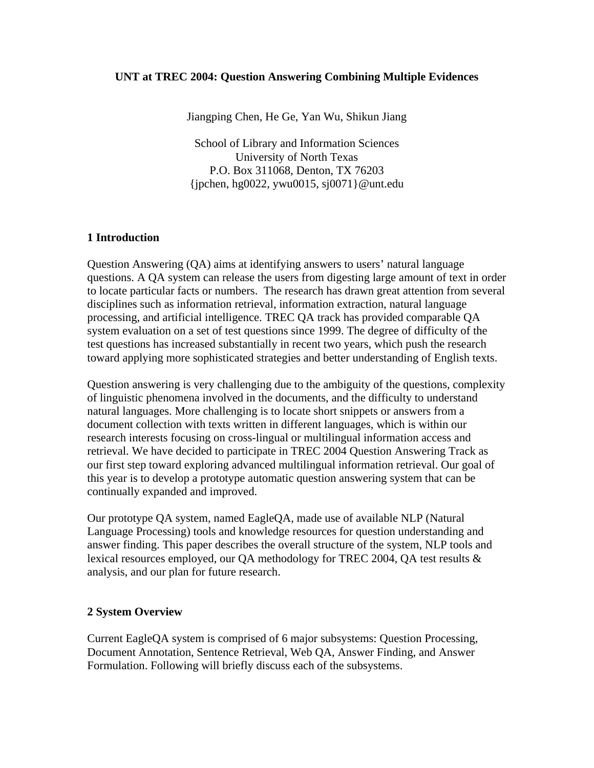### **UNT at TREC 2004: Question Answering Combining Multiple Evidences**

Jiangping Chen, He Ge, Yan Wu, Shikun Jiang

School of Library and Information Sciences University of North Texas P.O. Box 311068, Denton, TX 76203 {jpchen, hg0022, ywu0015, sj0071}@unt.edu

### **1 Introduction**

Question Answering (QA) aims at identifying answers to users' natural language questions. A QA system can release the users from digesting large amount of text in order to locate particular facts or numbers. The research has drawn great attention from several disciplines such as information retrieval, information extraction, natural language processing, and artificial intelligence. TREC QA track has provided comparable QA system evaluation on a set of test questions since 1999. The degree of difficulty of the test questions has increased substantially in recent two years, which push the research toward applying more sophisticated strategies and better understanding of English texts.

Question answering is very challenging due to the ambiguity of the questions, complexity of linguistic phenomena involved in the documents, and the difficulty to understand natural languages. More challenging is to locate short snippets or answers from a document collection with texts written in different languages, which is within our research interests focusing on cross-lingual or multilingual information access and retrieval. We have decided to participate in TREC 2004 Question Answering Track as our first step toward exploring advanced multilingual information retrieval. Our goal of this year is to develop a prototype automatic question answering system that can be continually expanded and improved.

Our prototype QA system, named EagleQA, made use of available NLP (Natural Language Processing) tools and knowledge resources for question understanding and answer finding. This paper describes the overall structure of the system, NLP tools and lexical resources employed, our QA methodology for TREC 2004, QA test results & analysis, and our plan for future research.

#### **2 System Overview**

Current EagleQA system is comprised of 6 major subsystems: Question Processing, Document Annotation, Sentence Retrieval, Web QA, Answer Finding, and Answer Formulation. Following will briefly discuss each of the subsystems.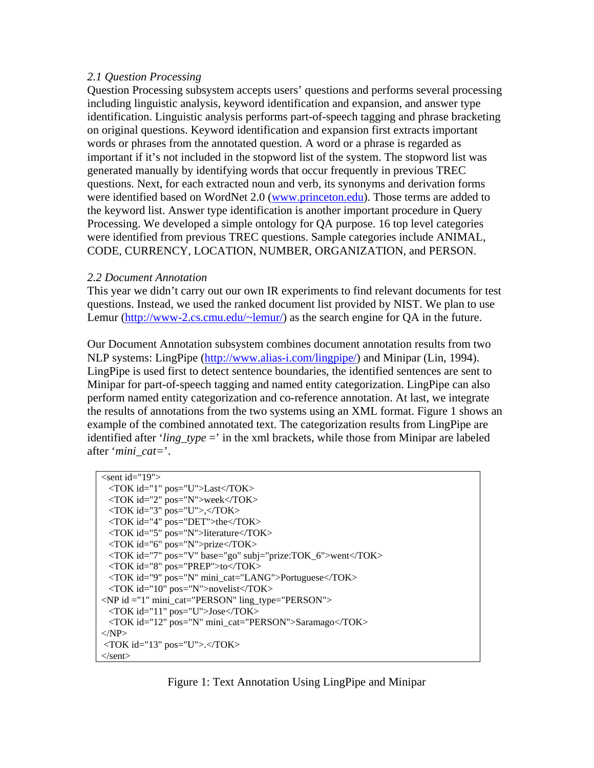### *2.1 Question Processing*

Question Processing subsystem accepts users' questions and performs several processing including linguistic analysis, keyword identification and expansion, and answer type identification. Linguistic analysis performs part-of-speech tagging and phrase bracketing on original questions. Keyword identification and expansion first extracts important words or phrases from the annotated question. A word or a phrase is regarded as important if it's not included in the stopword list of the system. The stopword list was generated manually by identifying words that occur frequently in previous TREC questions. Next, for each extracted noun and verb, its synonyms and derivation forms were identified based on WordNet 2.0 [\(www.princeton.edu\)](http://www.princeton.edu/). Those terms are added to the keyword list. Answer type identification is another important procedure in Query Processing. We developed a simple ontology for QA purpose. 16 top level categories were identified from previous TREC questions. Sample categories include ANIMAL, CODE, CURRENCY, LOCATION, NUMBER, ORGANIZATION, and PERSON.

### *2.2 Document Annotation*

This year we didn't carry out our own IR experiments to find relevant documents for test questions. Instead, we used the ranked document list provided by NIST. We plan to use Lemur ([http://www-2.cs.cmu.edu/~lemur/\)](http://www-2.cs.cmu.edu/~lemur/) as the search engine for QA in the future.

Our Document Annotation subsystem combines document annotation results from two NLP systems: LingPipe ([http://www.alias-i.com/lingpipe/\)](http://www.alias-i.com/lingpipe/) and Minipar (Lin, 1994). LingPipe is used first to detect sentence boundaries, the identified sentences are sent to Minipar for part-of-speech tagging and named entity categorization. LingPipe can also perform named entity categorization and co-reference annotation. At last, we integrate the results of annotations from the two systems using an XML format. Figure 1 shows an example of the combined annotated text. The categorization results from LingPipe are identified after '*ling\_type* =' in the xml brackets, while those from Minipar are labeled after '*mini\_cat=*'.

```
\lesent id="19"> <TOK id="1" pos="U">Last</TOK> 
  <TOK id="2" pos="N">week</TOK> 
  <TOK id="3" pos="U">,</TOK> 
  <TOK id="4" pos="DET">the</TOK> 
  <TOK id="5" pos="N">literature</TOK> 
  <TOK id="6" pos="N">prize</TOK> 
  <TOK id="7" pos="V" base="go" subj="prize:TOK_6">went</TOK> 
  <TOK id="8" pos="PREP">to</TOK> 
  <TOK id="9" pos="N" mini_cat="LANG">Portuguese</TOK> 
  <TOK id="10" pos="N">novelist</TOK> 
<NP id ="1" mini_cat="PERSON" ling_type="PERSON"> 
  <TOK id="11" pos="U">Jose</TOK> 
  <TOK id="12" pos="N" mini_cat="PERSON">Saramago</TOK> 
</NP>\langleTOK id="13" pos="U">.\langleTOK>
</sent>
```
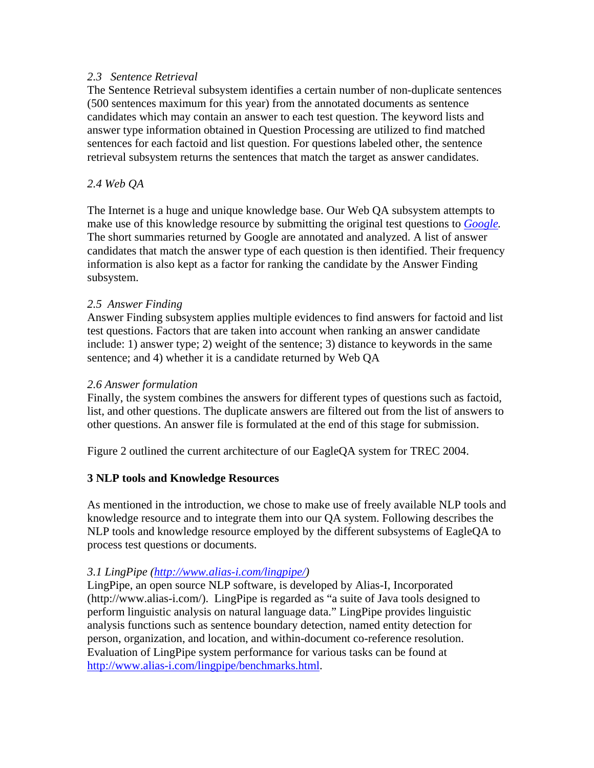### *2.3 Sentence Retrieval*

The Sentence Retrieval subsystem identifies a certain number of non-duplicate sentences (500 sentences maximum for this year) from the annotated documents as sentence candidates which may contain an answer to each test question. The keyword lists and answer type information obtained in Question Processing are utilized to find matched sentences for each factoid and list question. For questions labeled other, the sentence retrieval subsystem returns the sentences that match the target as answer candidates.

## *2.4 Web QA*

The Internet is a huge and unique knowledge base. Our Web QA subsystem attempts to make use of this knowledge resource by submitting the original test questions to *[Google.](http://www.google.com/)*  The short summaries returned by Google are annotated and analyzed. A list of answer candidates that match the answer type of each question is then identified. Their frequency information is also kept as a factor for ranking the candidate by the Answer Finding subsystem.

### *2.5 Answer Finding*

Answer Finding subsystem applies multiple evidences to find answers for factoid and list test questions. Factors that are taken into account when ranking an answer candidate include: 1) answer type; 2) weight of the sentence; 3) distance to keywords in the same sentence; and 4) whether it is a candidate returned by Web QA

### *2.6 Answer formulation*

Finally, the system combines the answers for different types of questions such as factoid, list, and other questions. The duplicate answers are filtered out from the list of answers to other questions. An answer file is formulated at the end of this stage for submission.

Figure 2 outlined the current architecture of our EagleQA system for TREC 2004.

## **3 NLP tools and Knowledge Resources**

As mentioned in the introduction, we chose to make use of freely available NLP tools and knowledge resource and to integrate them into our QA system. Following describes the NLP tools and knowledge resource employed by the different subsystems of EagleQA to process test questions or documents.

### *3.1 LingPipe (<http://www.alias-i.com/lingpipe/>)*

LingPipe, an open source NLP software, is developed by Alias-I, Incorporated (http://www.alias-i.com/). LingPipe is regarded as "a suite of Java tools designed to perform linguistic analysis on natural language data." LingPipe provides linguistic analysis functions such as sentence boundary detection, named entity detection for person, organization, and location, and within-document co-reference resolution. Evaluation of LingPipe system performance for various tasks can be found at [http://www.alias-i.com/lingpipe/benchmarks.html.](http://www.alias-i.com/lingpipe/benchmarks.html)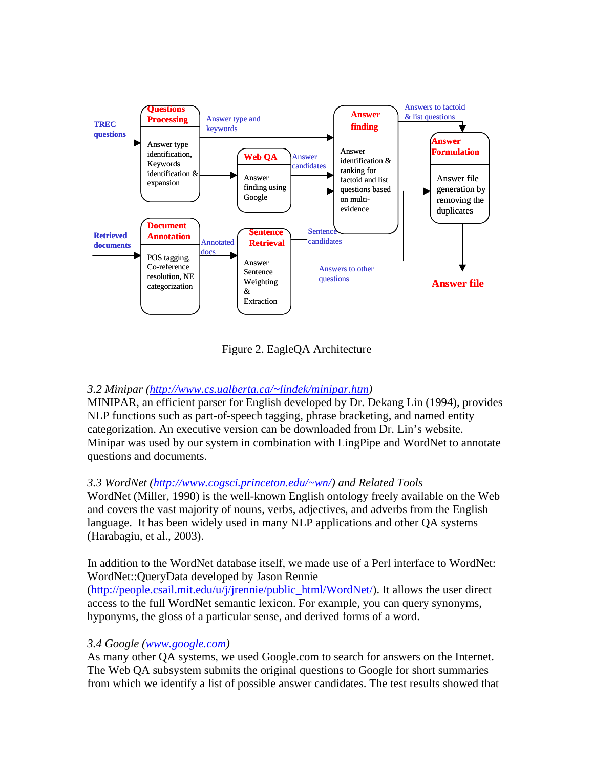

Figure 2. EagleQA Architecture

## *3.2 Minipar [\(http://www.cs.ualberta.ca/~lindek/minipar.htm](http://www.cs.ualberta.ca/~lindek/minipar.htm))*

MINIPAR, an efficient parser for English developed by Dr. Dekang Lin (1994), provides NLP functions such as part-of-speech tagging, phrase bracketing, and named entity categorization. An executive version can be downloaded from Dr. Lin's website. Minipar was used by our system in combination with LingPipe and WordNet to annotate questions and documents.

## *3.3 WordNet [\(http://www.cogsci.princeton.edu/~wn/\)](http://www.cogsci.princeton.edu/~wn/) and Related Tools*

WordNet (Miller, 1990) is the well-known English ontology freely available on the Web and covers the vast majority of nouns, verbs, adjectives, and adverbs from the English language. It has been widely used in many NLP applications and other QA systems (Harabagiu, et al., 2003).

In addition to the WordNet database itself, we made use of a Perl interface to WordNet: WordNet::QueryData developed by Jason Rennie

([http://people.csail.mit.edu/u/j/jrennie/public\\_html/WordNet/](http://people.csail.mit.edu/u/j/jrennie/public_html/WordNet/)). It allows the user direct access to the full WordNet semantic lexicon. For example, you can query synonyms, hyponyms, the gloss of a particular sense, and derived forms of a word.

## *3.4 Google [\(www.google.com\)](http://www.google.com/)*

As many other QA systems, we used Google.com to search for answers on the Internet. The Web QA subsystem submits the original questions to Google for short summaries from which we identify a list of possible answer candidates. The test results showed that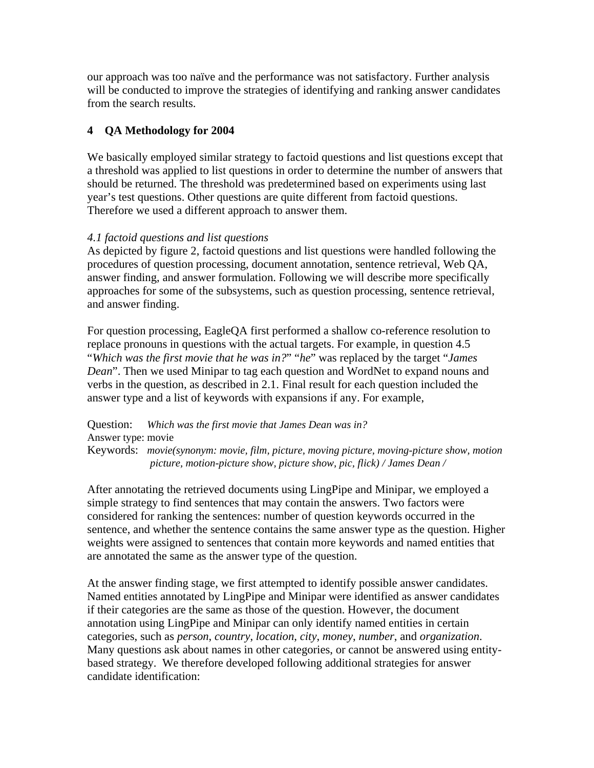our approach was too naïve and the performance was not satisfactory. Further analysis will be conducted to improve the strategies of identifying and ranking answer candidates from the search results.

## **4 QA Methodology for 2004**

We basically employed similar strategy to factoid questions and list questions except that a threshold was applied to list questions in order to determine the number of answers that should be returned. The threshold was predetermined based on experiments using last year's test questions. Other questions are quite different from factoid questions. Therefore we used a different approach to answer them.

## *4.1 factoid questions and list questions*

As depicted by figure 2, factoid questions and list questions were handled following the procedures of question processing, document annotation, sentence retrieval, Web QA, answer finding, and answer formulation. Following we will describe more specifically approaches for some of the subsystems, such as question processing, sentence retrieval, and answer finding.

For question processing, EagleQA first performed a shallow co-reference resolution to replace pronouns in questions with the actual targets. For example, in question 4.5 "*Which was the first movie that he was in?*" "*he*" was replaced by the target "*James Dean*". Then we used Minipar to tag each question and WordNet to expand nouns and verbs in the question, as described in 2.1. Final result for each question included the answer type and a list of keywords with expansions if any. For example,

Question: *Which was the first movie that James Dean was in?* Answer type: movie Keywords: *movie(synonym: movie, film, picture, moving picture, moving-picture show, motion picture, motion-picture show, picture show, pic, flick) / James Dean /* 

After annotating the retrieved documents using LingPipe and Minipar, we employed a simple strategy to find sentences that may contain the answers. Two factors were considered for ranking the sentences: number of question keywords occurred in the sentence, and whether the sentence contains the same answer type as the question. Higher weights were assigned to sentences that contain more keywords and named entities that are annotated the same as the answer type of the question.

At the answer finding stage, we first attempted to identify possible answer candidates. Named entities annotated by LingPipe and Minipar were identified as answer candidates if their categories are the same as those of the question. However, the document annotation using LingPipe and Minipar can only identify named entities in certain categories, such as *person*, *country*, *location*, *city*, *money*, *number*, and *organization*. Many questions ask about names in other categories, or cannot be answered using entitybased strategy. We therefore developed following additional strategies for answer candidate identification: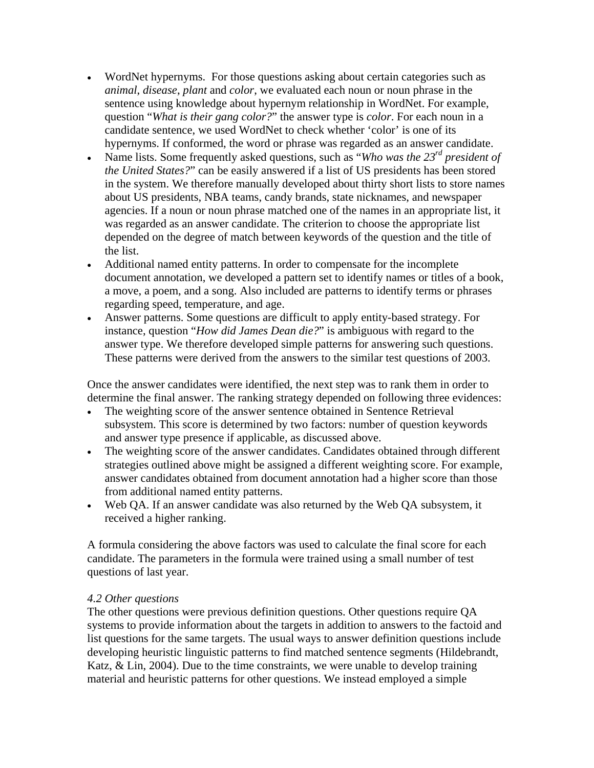- WordNet hypernyms. For those questions asking about certain categories such as *animal*, *disease*, *plant* and *color*, we evaluated each noun or noun phrase in the sentence using knowledge about hypernym relationship in WordNet. For example, question "*What is their gang color?*" the answer type is *color*. For each noun in a candidate sentence, we used WordNet to check whether 'color' is one of its hypernyms. If conformed, the word or phrase was regarded as an answer candidate.
- Name lists. Some frequently asked questions, such as "*Who was the 23<sup>rd</sup> president of the United States?*" can be easily answered if a list of US presidents has been stored in the system. We therefore manually developed about thirty short lists to store names about US presidents, NBA teams, candy brands, state nicknames, and newspaper agencies. If a noun or noun phrase matched one of the names in an appropriate list, it was regarded as an answer candidate. The criterion to choose the appropriate list depended on the degree of match between keywords of the question and the title of the list.
- Additional named entity patterns. In order to compensate for the incomplete document annotation, we developed a pattern set to identify names or titles of a book, a move, a poem, and a song. Also included are patterns to identify terms or phrases regarding speed, temperature, and age.
- Answer patterns. Some questions are difficult to apply entity-based strategy. For instance, question "*How did James Dean die?*" is ambiguous with regard to the answer type. We therefore developed simple patterns for answering such questions. These patterns were derived from the answers to the similar test questions of 2003.

Once the answer candidates were identified, the next step was to rank them in order to determine the final answer. The ranking strategy depended on following three evidences:

- The weighting score of the answer sentence obtained in Sentence Retrieval subsystem. This score is determined by two factors: number of question keywords and answer type presence if applicable, as discussed above.
- The weighting score of the answer candidates. Candidates obtained through different strategies outlined above might be assigned a different weighting score. For example, answer candidates obtained from document annotation had a higher score than those from additional named entity patterns.
- Web QA. If an answer candidate was also returned by the Web QA subsystem, it received a higher ranking.

A formula considering the above factors was used to calculate the final score for each candidate. The parameters in the formula were trained using a small number of test questions of last year.

### *4.2 Other questions*

The other questions were previous definition questions. Other questions require QA systems to provide information about the targets in addition to answers to the factoid and list questions for the same targets. The usual ways to answer definition questions include developing heuristic linguistic patterns to find matched sentence segments (Hildebrandt, Katz, & Lin, 2004). Due to the time constraints, we were unable to develop training material and heuristic patterns for other questions. We instead employed a simple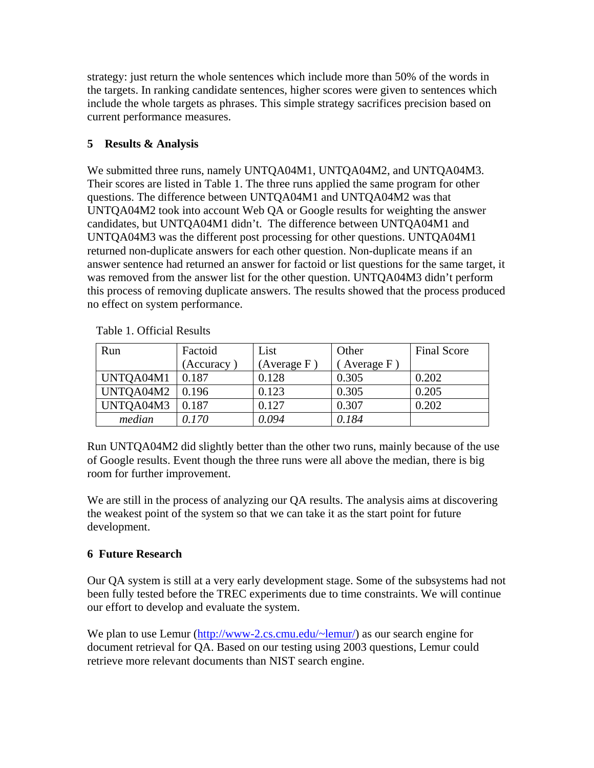strategy: just return the whole sentences which include more than 50% of the words in the targets. In ranking candidate sentences, higher scores were given to sentences which include the whole targets as phrases. This simple strategy sacrifices precision based on current performance measures.

## **5 Results & Analysis**

We submitted three runs, namely UNTQA04M1, UNTQA04M2, and UNTQA04M3. Their scores are listed in Table 1. The three runs applied the same program for other questions. The difference between UNTQA04M1 and UNTQA04M2 was that UNTQA04M2 took into account Web QA or Google results for weighting the answer candidates, but UNTQA04M1 didn't. The difference between UNTQA04M1 and UNTQA04M3 was the different post processing for other questions. UNTQA04M1 returned non-duplicate answers for each other question. Non-duplicate means if an answer sentence had returned an answer for factoid or list questions for the same target, it was removed from the answer list for the other question. UNTQA04M3 didn't perform this process of removing duplicate answers. The results showed that the process produced no effect on system performance.

| Run       | Factoid   | List           | Other       | <b>Final Score</b> |
|-----------|-----------|----------------|-------------|--------------------|
|           | (Accuracy | (Average $F$ ) | Average $F$ |                    |
| UNTQA04M1 | 0.187     | 0.128          | 0.305       | 0.202              |
| UNTQA04M2 | 0.196     | 0.123          | 0.305       | 0.205              |
| UNTQA04M3 | 0.187     | 0.127          | 0.307       | 0.202              |
| median    | 0.170     | 0.094          | 0.184       |                    |

Table 1. Official Results

Run UNTQA04M2 did slightly better than the other two runs, mainly because of the use of Google results. Event though the three runs were all above the median, there is big room for further improvement.

We are still in the process of analyzing our QA results. The analysis aims at discovering the weakest point of the system so that we can take it as the start point for future development.

# **6 Future Research**

Our QA system is still at a very early development stage. Some of the subsystems had not been fully tested before the TREC experiments due to time constraints. We will continue our effort to develop and evaluate the system.

We plan to use Lemur (<http://www-2.cs.cmu.edu/~lemur/>) as our search engine for document retrieval for QA. Based on our testing using 2003 questions, Lemur could retrieve more relevant documents than NIST search engine.